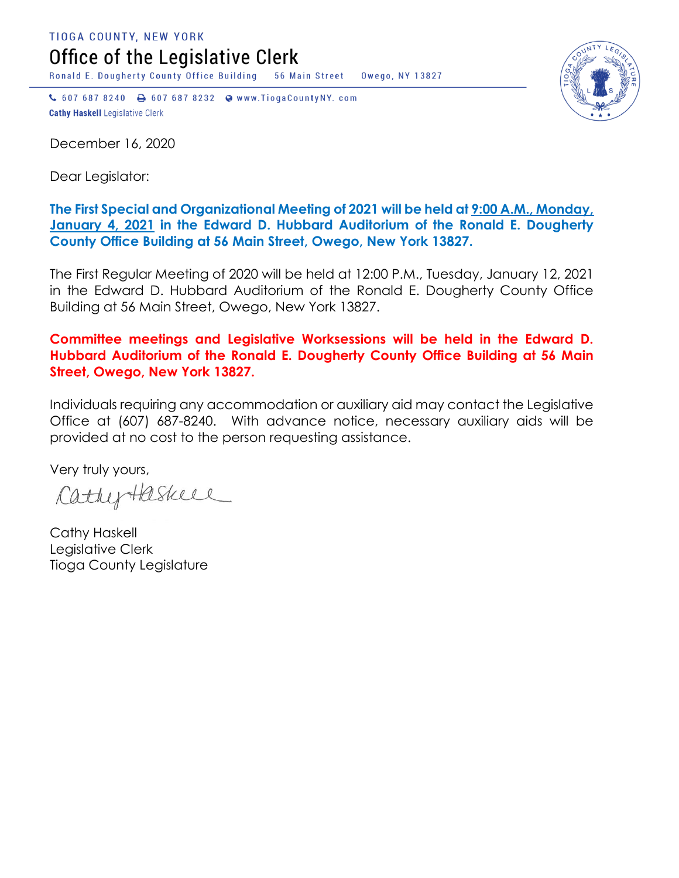TIOGA COUNTY, NEW YORK Office of the Legislative Clerk

Ronald E. Dougherty County Office Building 56 Main Street Owego, NY 13827

↓ 607 687 8240 → 607 687 8232 → www.TiogaCountyNY.com **Cathy Haskell Legislative Clerk** 

December 16, 2020

Dear Legislator:

## **The First Special and Organizational Meeting of 2021 will be held at 9:00 A.M., Monday, January 4, 2021 in the Edward D. Hubbard Auditorium of the Ronald E. Dougherty County Office Building at 56 Main Street, Owego, New York 13827.**

The First Regular Meeting of 2020 will be held at 12:00 P.M., Tuesday, January 12, 2021 in the Edward D. Hubbard Auditorium of the Ronald E. Dougherty County Office Building at 56 Main Street, Owego, New York 13827.

## **Committee meetings and Legislative Worksessions will be held in the Edward D. Hubbard Auditorium of the Ronald E. Dougherty County Office Building at 56 Main Street, Owego, New York 13827.**

Individuals requiring any accommodation or auxiliary aid may contact the Legislative Office at (607) 687-8240. With advance notice, necessary auxiliary aids will be provided at no cost to the person requesting assistance.

Very truly yours,

CathyHaskell

Cathy Haskell Legislative Clerk Tioga County Legislature